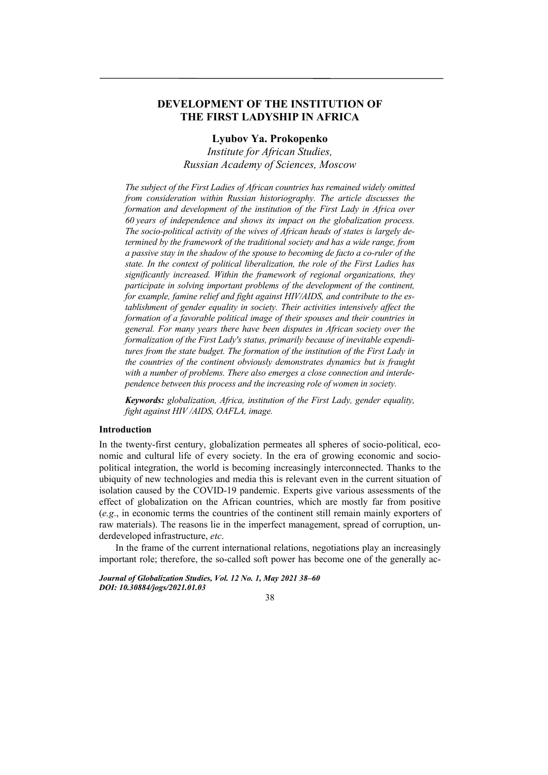# **DEVELOPMENT OF THE INSTITUTION OF THE FIRST LADYSHIP IN AFRICA**

## **Lyubov Ya. Prokopenko**

*Institute for African Studies, Russian Academy of Sciences, Moscow* 

*The subject of the First Ladies of African countries has remained widely omitted from consideration within Russian historiography. The article discusses the formation and development of the institution of the First Lady in Africa over 60 years of independence and shows its impact on the globalization process. The socio-political activity of the wives of African heads of states is largely determined by the framework of the traditional society and has a wide range, from a passive stay in the shadow of the spouse to becoming de facto a co-ruler of the state. In the context of political liberalization, the role of the First Ladies has significantly increased. Within the framework of regional organizations, they participate in solving important problems of the development of the continent, for example, famine relief and fight against HIV/AIDS, and contribute to the establishment of gender equality in society. Their activities intensively affect the formation of a favorable political image of their spouses and their countries in general. For many years there have been disputes in African society over the formalization of the First Lady's status, primarily because of inevitable expenditures from the state budget. The formation of the institution of the First Lady in the countries of the continent obviously demonstrates dynamics but is fraught with a number of problems. There also emerges a close connection and interdependence between this process and the increasing role of women in society.* 

*Keywords: globalization, Africa, institution of the First Lady, gender equality, fight against HIV /AIDS, OAFLA, image.* 

## **Introduction**

In the twenty-first century, globalization permeates all spheres of socio-political, economic and cultural life of every society. In the era of growing economic and sociopolitical integration, the world is becoming increasingly interconnected. Thanks to the ubiquity of new technologies and media this is relevant even in the current situation of isolation caused by the COVID-19 pandemic. Experts give various assessments of the effect of globalization on the African countries, which are mostly far from positive (*e.g*., in economic terms the countries of the continent still remain mainly exporters of raw materials). The reasons lie in the imperfect management, spread of corruption, underdeveloped infrastructure, *etc*.

In the frame of the current international relations, negotiations play an increasingly important role; therefore, the so-called soft power has become one of the generally ac-

*Journal of Globalization Studies, Vol. 12 No. 1, May 2021 38–60 DOI: 10.30884/jogs/2021.01.03* 

38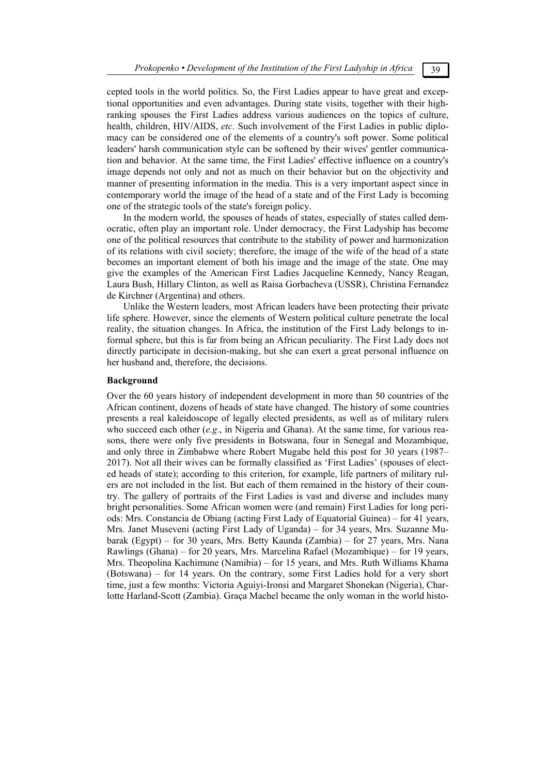cepted tools in the world politics. So, the First Ladies appear to have great and exceptional opportunities and even advantages. During state visits, together with their highranking spouses the First Ladies address various audiences on the topics of culture, health, children, HIV/AIDS, *etc.* Such involvement of the First Ladies in public diplomacy can be considered one of the elements of a country's soft power. Some political leaders' harsh communication style can be softened by their wives' gentler communication and behavior. At the same time, the First Ladies' effective influence on a country's image depends not only and not as much on their behavior but on the objectivity and manner of presenting information in the media. This is a very important aspect since in contemporary world the image of the head of a state and of the First Lady is becoming one of the strategic tools of the state's foreign policy.

In the modern world, the spouses of heads of states, especially of states called democratic, often play an important role. Under democracy, the First Ladyship has become one of the political resources that contribute to the stability of power and harmonization of its relations with civil society; therefore, the image of the wife of the head of a state becomes an important element of both his image and the image of the state. One may give the examples of the American First Ladies Jacqueline Kennedy, Nancy Reagan, Laura Bush, Hillary Clinton, as well as Raisa Gorbacheva (USSR), Christina Fernandez de Kirchner (Argentina) and others.

Unlike the Western leaders, most African leaders have been protecting their private life sphere. However, since the elements of Western political culture penetrate the local reality, the situation changes. In Africa, the institution of the First Lady belongs to informal sphere, but this is far from being an African peculiarity. The First Lady does not directly participate in decision-making, but she can exert a great personal influence on her husband and, therefore, the decisions.

### **Background**

Over the 60 years history of independent development in more than 50 countries of the African continent, dozens of heads of state have changed. The history of some countries presents a real kaleidoscope of legally elected presidents, as well as of military rulers who succeed each other (*e.g.*, in Nigeria and Ghana). At the same time, for various reasons, there were only five presidents in Botswana, four in Senegal and Mozambique, and only three in Zimbabwe where Robert Mugabe held this post for 30 years (1987– 2017). Not all their wives can be formally classified as 'First Ladies' (spouses of elected heads of state); according to this criterion, for example, life partners of military rulers are not included in the list. But each of them remained in the history of their country. The gallery of portraits of the First Ladies is vast and diverse and includes many bright personalities. Some African women were (and remain) First Ladies for long periods: Mrs. Constancia de Obiang (acting First Lady of Equatorial Guinea) – for 41 years, Mrs. Janet Museveni (acting First Lady of Uganda) – for 34 years, Mrs. Suzanne Mubarak (Egypt) – for 30 years, Mrs. Betty Kaunda (Zambia) – for 27 years, Mrs. Nana Rawlings (Ghana) – for 20 years, Mrs. Marcelina Rafael (Mozambique) – for 19 years, Mrs. Theopolina Kachimune (Namibia) – for 15 years, and Mrs. Ruth Williams Khama (Botswana) – for 14 years. On the contrary, some First Ladies hold for a very short time, just a few months: Victoria Aguiyi-Ironsi and Margaret Shonekan (Nigeria), Charlotte Harland-Scott (Zambia). Graça Machel became the only woman in the world histo-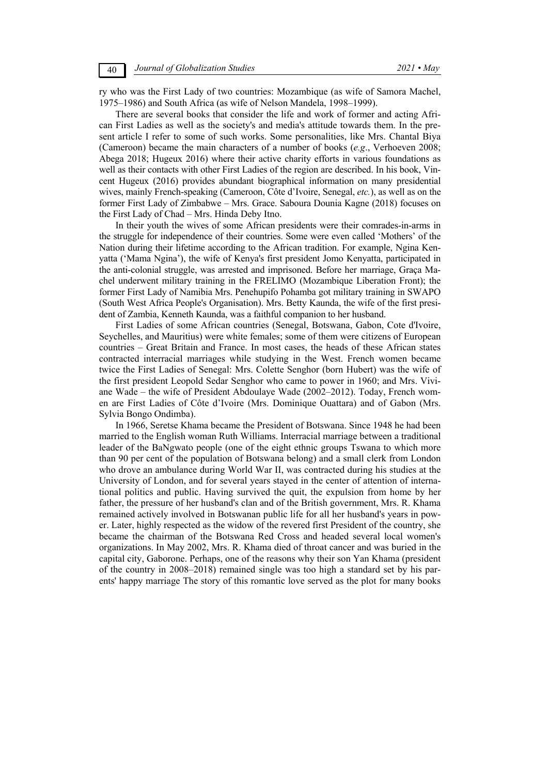ry who was the First Lady of two countries: Mozambique (as wife of Samora Machel, 1975–1986) and South Africa (as wife of Nelson Mandela, 1998–1999).

There are several books that consider the life and work of former and acting African First Ladies as well as the society's and media's attitude towards them. In the present article I refer to some of such works. Some personalities, like Mrs. Chantal Biya (Cameroon) became the main characters of a number of books (*e.g*., Verhoeven 2008; Abega 2018; Hugeux 2016) where their active charity efforts in various foundations as well as their contacts with other First Ladies of the region are described. In his book, Vincent Hugeux (2016) provides abundant biographical information on many presidential wives, mainly French-speaking (Cameroon, Côte d'Ivoire, Senegal, *etc.*), as well as on the former First Lady of Zimbabwe – Mrs. Grace. Saboura Dounia Kagne (2018) focuses on the First Lady of Chad – Mrs. Hinda Deby Itno.

In their youth the wives of some African presidents were their comrades-in-arms in the struggle for independence of their countries. Some were even called 'Mothers' of the Nation during their lifetime according to the African tradition. For example, Ngina Kenyatta ('Mama Ngina'), the wife of Kenya's first president Jomo Kenyatta, participated in the anti-colonial struggle, was arrested and imprisoned. Before her marriage, Graça Machel underwent military training in the FRELIMO (Mozambique Liberation Front); the former First Lady of Namibia Mrs. Penehupifo Pohamba got military training in SWAPO (South West Africa People's Organisation). Mrs. Betty Kaunda, the wife of the first president of Zambia, Kenneth Kaunda, was a faithful companion to her husband.

First Ladies of some African countries (Senegal, Botswana, Gabon, Cote d'Ivoire, Seychelles, and Mauritius) were white females; some of them were citizens of European countries – Great Britain and France. In most cases, the heads of these African states contracted interracial marriages while studying in the West. French women became twice the First Ladies of Senegal: Mrs. Colette Senghor (born Hubert) was the wife of the first president Leopold Sedar Senghor who came to power in 1960; and Mrs. Viviane Wade – the wife of President Abdoulaye Wade (2002–2012). Today, French women are First Ladies of Côte d'Ivoire (Mrs. Dominique Ouattara) and of Gabon (Mrs. Sylvia Bongo Ondimba).

In 1966, Seretse Khama became the President of Botswana. Since 1948 he had been married to the English woman Ruth Williams. Interracial marriage between a traditional leader of the BaNgwato people (one of the eight ethnic groups Tswana to which more than 90 per cent of the population of Botswana belong) and a small clerk from London who drove an ambulance during World War II, was contracted during his studies at the University of London, and for several years stayed in the center of attention of international politics and public. Having survived the quit, the expulsion from home by her father, the pressure of her husband's clan and of the British government, Mrs. R. Khama remained actively involved in Botswanan public life for all her husband's years in power. Later, highly respected as the widow of the revered first President of the country, she became the chairman of the Botswana Red Cross and headed several local women's organizations. In May 2002, Mrs. R. Khama died of throat cancer and was buried in the capital city, Gaborone. Perhaps, one of the reasons why their son Yan Khama (president of the country in 2008–2018) remained single was too high a standard set by his parents' happy marriage The story of this romantic love served as the plot for many books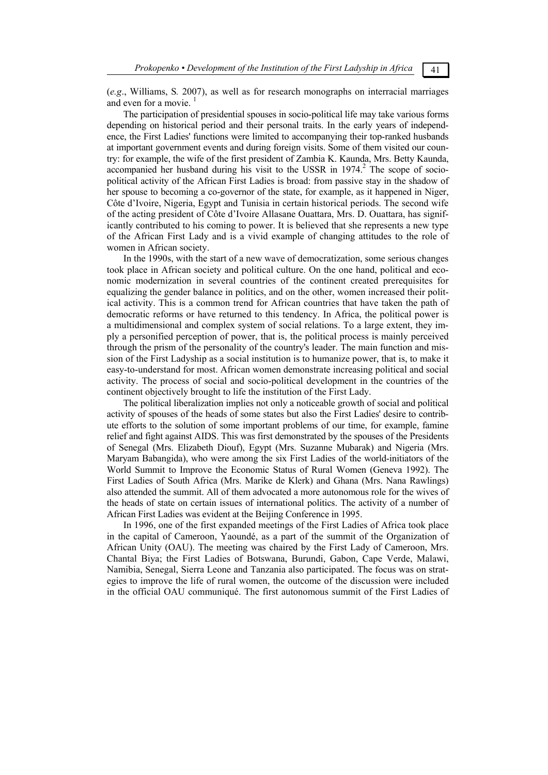(*e.g*., Williams, S*.* 2007), as well as for research monographs on interracial marriages and even for a movie.

The participation of presidential spouses in socio-political life may take various forms depending on historical period and their personal traits. In the early years of independence, the First Ladies' functions were limited to accompanying their top-ranked husbands at important government events and during foreign visits. Some of them visited our country: for example, the wife of the first president of Zambia K. Kaunda, Mrs. Betty Kaunda, accompanied her husband during his visit to the USSR in  $1974<sup>2</sup>$  The scope of sociopolitical activity of the African First Ladies is broad: from passive stay in the shadow of her spouse to becoming a co-governor of the state, for example, as it happened in Niger, Côte d'Ivoire, Nigeria, Egypt and Tunisia in certain historical periods. The second wife of the acting president of Côte d'Ivoire Allasane Ouattara, Mrs. D. Ouattara, has significantly contributed to his coming to power. It is believed that she represents a new type of the African First Lady and is a vivid example of changing attitudes to the role of women in African society.

In the 1990s, with the start of a new wave of democratization, some serious changes took place in African society and political culture. On the one hand, political and economic modernization in several countries of the continent created prerequisites for equalizing the gender balance in politics, and on the other, women increased their political activity. This is a common trend for African countries that have taken the path of democratic reforms or have returned to this tendency. In Africa, the political power is a multidimensional and complex system of social relations. To a large extent, they imply a personified perception of power, that is, the political process is mainly perceived through the prism of the personality of the country's leader. The main function and mission of the First Ladyship as a social institution is to humanize power, that is, to make it easy-to-understand for most. African women demonstrate increasing political and social activity. The process of social and socio-political development in the countries of the continent objectively brought to life the institution of the First Lady.

The political liberalization implies not only a noticeable growth of social and political activity of spouses of the heads of some states but also the First Ladies' desire to contribute efforts to the solution of some important problems of our time, for example, famine relief and fight against AIDS. This was first demonstrated by the spouses of the Presidents of Senegal (Mrs. Elizabeth Diouf), Egypt (Mrs. Suzanne Mubarak) and Nigeria (Mrs. Maryam Babangida), who were among the six First Ladies of the world-initiators of the World Summit to Improve the Economic Status of Rural Women (Geneva 1992). The First Ladies of South Africa (Mrs. Marike de Klerk) and Ghana (Mrs. Nana Rawlings) also attended the summit. All of them advocated a more autonomous role for the wives of the heads of state on certain issues of international politics. The activity of a number of African First Ladies was evident at the Beijing Conference in 1995.

In 1996, one of the first expanded meetings of the First Ladies of Africa took place in the capital of Cameroon, Yaoundé, as a part of the summit of the Organization of African Unity (OAU). The meeting was chaired by the First Lady of Cameroon, Mrs. Chantal Biya; the First Ladies of Botswana, Burundi, Gabon, Cape Verde, Malawi, Namibia, Senegal, Sierra Leone and Tanzania also participated. The focus was on strategies to improve the life of rural women, the outcome of the discussion were included in the official OAU communiqué. The first autonomous summit of the First Ladies of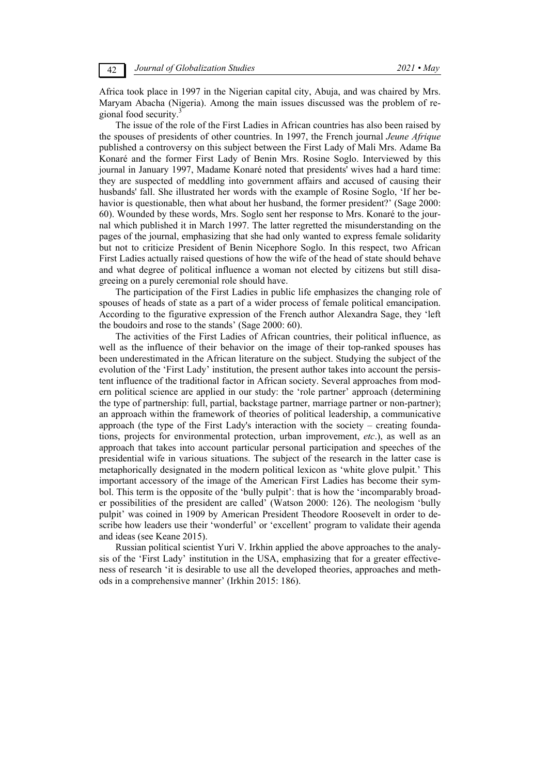Africa took place in 1997 in the Nigerian capital city, Abuja, and was chaired by Mrs. Maryam Abacha (Nigeria). Among the main issues discussed was the problem of regional food security.

The issue of the role of the First Ladies in African countries has also been raised by the spouses of presidents of other countries. In 1997, the French journal *Jeune Afrique*  published a controversy on this subject between the First Lady of Mali Mrs. Adame Ba Konaré and the former First Lady of Benin Mrs. Rosine Soglo. Interviewed by this journal in January 1997, Madame Konaré noted that presidents' wives had a hard time: they are suspected of meddling into government affairs and accused of causing their husbands' fall. She illustrated her words with the example of Rosine Soglo, 'If her behavior is questionable, then what about her husband, the former president?' (Sage 2000: 60). Wounded by these words, Mrs. Soglo sent her response to Mrs. Konaré to the journal which published it in March 1997. The latter regretted the misunderstanding on the pages of the journal, emphasizing that she had only wanted to express female solidarity but not to criticize President of Benin Nicephore Soglo. In this respect, two African First Ladies actually raised questions of how the wife of the head of state should behave and what degree of political influence a woman not elected by citizens but still disagreeing on a purely ceremonial role should have.

The participation of the First Ladies in public life emphasizes the changing role of spouses of heads of state as a part of a wider process of female political emancipation. According to the figurative expression of the French author Alexandra Sage, they 'left the boudoirs and rose to the stands' (Sage 2000: 60).

The activities of the First Ladies of African countries, their political influence, as well as the influence of their behavior on the image of their top-ranked spouses has been underestimated in the African literature on the subject. Studying the subject of the evolution of the 'First Lady' institution, the present author takes into account the persistent influence of the traditional factor in African society. Several approaches from modern political science are applied in our study: the 'role partner' approach (determining the type of partnership: full, partial, backstage partner, marriage partner or non-partner); an approach within the framework of theories of political leadership, a communicative approach (the type of the First Lady's interaction with the society – creating foundations, projects for environmental protection, urban improvement, *etc*.), as well as an approach that takes into account particular personal participation and speeches of the presidential wife in various situations. The subject of the research in the latter case is metaphorically designated in the modern political lexicon as 'white glove pulpit.' This important accessory of the image of the American First Ladies has become their symbol. This term is the opposite of the 'bully pulpit': that is how the 'incomparably broader possibilities of the president are called' (Watson 2000: 126). The neologism 'bully pulpit' was coined in 1909 by American President Theodore Roosevelt in order to describe how leaders use their 'wonderful' or 'excellent' program to validate their agenda and ideas (see Keane 2015).

Russian political scientist Yuri V. Irkhin applied the above approaches to the analysis of the 'First Lady' institution in the USA, emphasizing that for a greater effectiveness of research 'it is desirable to use all the developed theories, approaches and methods in a comprehensive manner' (Irkhin 2015: 186).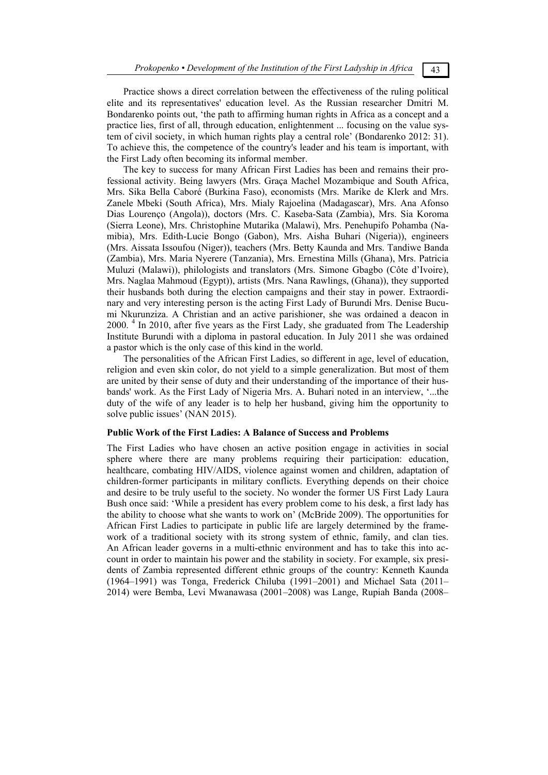Practice shows a direct correlation between the effectiveness of the ruling political elite and its representatives' education level. As the Russian researcher Dmitri M. Bondarenko points out, 'the path to affirming human rights in Africa as a concept and a practice lies, first of all, through education, enlightenment ... focusing on the value system of civil society, in which human rights play a central role' (Bondarenko 2012: 31). To achieve this, the competence of the country's leader and his team is important, with the First Lady often becoming its informal member.

The key to success for many African First Ladies has been and remains their professional activity. Being lawyers (Mrs. Graça Machel Mozambique and South Africa, Mrs. Sika Bella Caboré (Burkina Faso), economists (Mrs. Marike de Klerk and Mrs. Zanele Mbeki (South Africa), Mrs. Mialy Rajoelina (Madagascar), Mrs. Ana Afonso Dias Lourenço (Angola)), doctors (Mrs. C. Kaseba-Sata (Zambia), Mrs. Sia Koroma (Sierra Leone), Mrs. Christophine Mutarika (Malawi), Mrs. Penehupifo Pohamba (Namibia), Mrs. Edith-Lucie Bongo (Gabon), Mrs. Aisha Buhari (Nigeria)), engineers (Mrs. Aissata Issoufou (Niger)), teachers (Mrs. Betty Kaunda and Mrs. Tandiwe Banda (Zambia), Mrs. Maria Nyerere (Tanzania), Mrs. Ernestina Mills (Ghana), Mrs. Patricia Muluzi (Malawi)), philologists and translators (Mrs. Simone Gbagbo (Côte d'Ivoire), Mrs. Naglaa Mahmoud (Egypt)), artists (Mrs. Nana Rawlings, (Ghana)), they supported their husbands both during the election campaigns and their stay in power. Extraordinary and very interesting person is the acting First Lady of Burundi Mrs. Denise Bucumi Nkurunziza. A Christian and an active parishioner, she was ordained a deacon in 2000.<sup>4</sup> In 2010, after five years as the First Lady, she graduated from The Leadership Institute Burundi with a diploma in pastoral education. In July 2011 she was ordained a pastor which is the only case of this kind in the world.

The personalities of the African First Ladies, so different in age, level of education, religion and even skin color, do not yield to a simple generalization. But most of them are united by their sense of duty and their understanding of the importance of their husbands' work. As the First Lady of Nigeria Mrs. A. Buhari noted in an interview, '...the duty of the wife of any leader is to help her husband, giving him the opportunity to solve public issues' (NAN 2015).

### **Public Work of the First Ladies: A Balance of Success and Problems**

The First Ladies who have chosen an active position engage in activities in social sphere where there are many problems requiring their participation: education, healthcare, combating HIV/AIDS, violence against women and children, adaptation of children-former participants in military conflicts. Everything depends on their choice and desire to be truly useful to the society. No wonder the former US First Lady Laura Bush once said: 'While a president has every problem come to his desk, a first lady has the ability to choose what she wants to work on' (McBride 2009). The opportunities for African First Ladies to participate in public life are largely determined by the framework of a traditional society with its strong system of ethnic, family, and clan ties. An African leader governs in a multi-ethnic environment and has to take this into account in order to maintain his power and the stability in society. For example, six presidents of Zambia represented different ethnic groups of the country: Kenneth Kaunda (1964–1991) was Tonga, Frederick Chiluba (1991–2001) and Michael Sata (2011– 2014) were Bemba, Levi Mwanawasa (2001–2008) was Lange, Rupiah Banda (2008–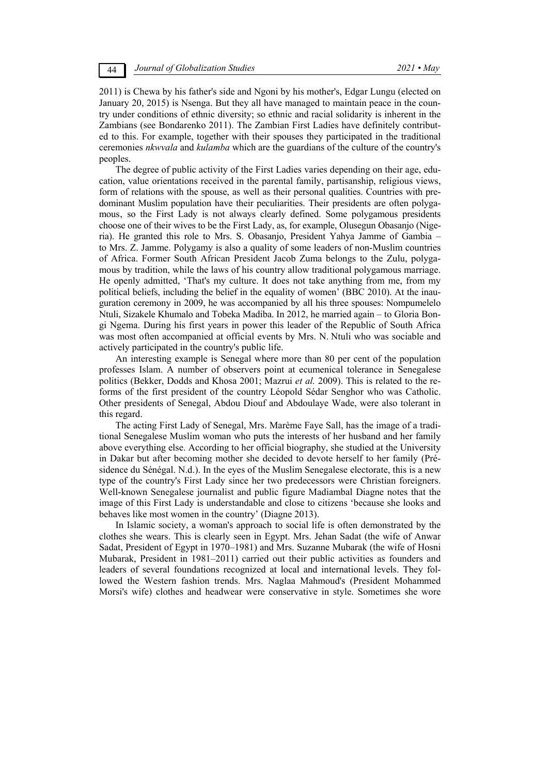2011) is Chewa by his father's side and Ngoni by his mother's, Edgar Lungu (elected on January 20, 2015) is Nsenga. But they all have managed to maintain peace in the country under conditions of ethnic diversity; so ethnic and racial solidarity is inherent in the Zambians (see Bondarenko 2011). The Zambian First Ladies have definitely contributed to this. For example, together with their spouses they participated in the traditional ceremonies *nkwvala* and *kulamba* which are the guardians of the culture of the country's peoples.

The degree of public activity of the First Ladies varies depending on their age, education, value orientations received in the parental family, partisanship, religious views, form of relations with the spouse, as well as their personal qualities. Countries with predominant Muslim population have their peculiarities. Their presidents are often polygamous, so the First Lady is not always clearly defined. Some polygamous presidents choose one of their wives to be the First Lady, as, for example, Olusegun Obasanjo (Nigeria). He granted this role to Mrs. S. Obasanjo, President Yahya Jamme of Gambia – to Mrs. Z. Jamme. Polygamy is also a quality of some leaders of non-Muslim countries of Africa. Former South African President Jacob Zuma belongs to the Zulu, polygamous by tradition, while the laws of his country allow traditional polygamous marriage. He openly admitted, 'That's my culture. It does not take anything from me, from my political beliefs, including the belief in the equality of women' (BBC 2010). At the inauguration ceremony in 2009, he was accompanied by all his three spouses: Nompumelelo Ntuli, Sizakele Khumalo and Tobeka Madiba. In 2012, he married again – to Gloria Bongi Ngema. During his first years in power this leader of the Republic of South Africa was most often accompanied at official events by Mrs. N. Ntuli who was sociable and actively participated in the country's public life.

An interesting example is Senegal where more than 80 per cent of the population professes Islam. A number of observers point at ecumenical tolerance in Senegalese politics (Bekker, Dodds and Khosa 2001; Mazrui *et al.* 2009). This is related to the reforms of the first president of the country Léopold Sédar Senghor who was Catholic. Other presidents of Senegal, Abdou Diouf and Abdoulaye Wade, were also tolerant in this regard.

The acting First Lady of Senegal, Mrs. Marème Faye Sall, has the image of a traditional Senegalese Muslim woman who puts the interests of her husband and her family above everything else. According to her official biography, she studied at the University in Dakar but after becoming mother she decided to devote herself to her family (Présidence du Sénégal. N.d.). In the eyes of the Muslim Senegalese electorate, this is a new type of the country's First Lady since her two predecessors were Christian foreigners. Well-known Senegalese journalist and public figure Madiambal Diagne notes that the image of this First Lady is understandable and close to citizens 'because she looks and behaves like most women in the country' (Diagne 2013).

In Islamic society, a woman's approach to social life is often demonstrated by the clothes she wears. This is clearly seen in Egypt. Mrs. Jehan Sadat (the wife of Anwar Sadat, President of Egypt in 1970–1981) and Mrs. Suzanne Mubarak (the wife of Hosni Mubarak, President in 1981–2011) carried out their public activities as founders and leaders of several foundations recognized at local and international levels. They followed the Western fashion trends. Mrs. Naglaa Mahmoud's (President Mohammed Morsi's wife) clothes and headwear were conservative in style. Sometimes she wore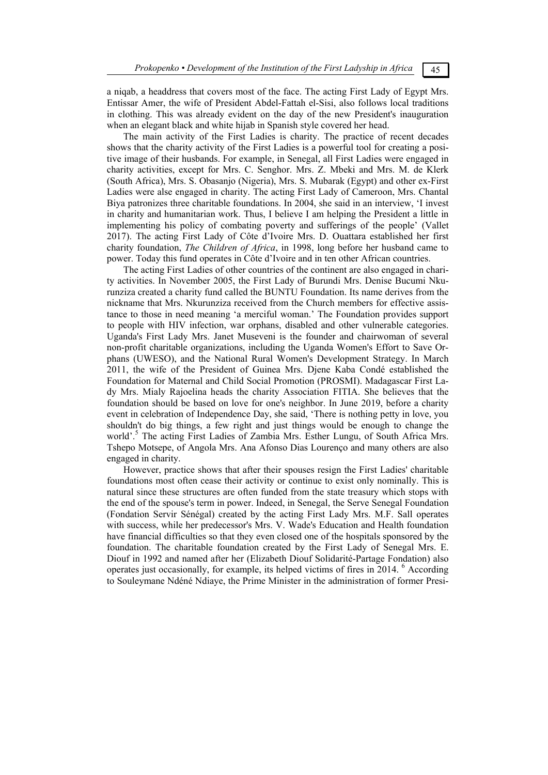a niqab, a headdress that covers most of the face. The acting First Lady of Egypt Mrs. Entissar Amer, the wife of President Abdel-Fattah el-Sisi, also follows local traditions in clothing. This was already evident on the day of the new President's inauguration when an elegant black and white hijab in Spanish style covered her head.

The main activity of the First Ladies is charity. The practice of recent decades shows that the charity activity of the First Ladies is a powerful tool for creating a positive image of their husbands. For example, in Senegal, all First Ladies were engaged in charity activities, except for Mrs. C. Senghor. Mrs. Z. Mbeki and Mrs. M. de Klerk (South Africa), Mrs. S. Obasanjo (Nigeria), Mrs. S. Mubarak (Egypt) and other ex-First Ladies were alse engaged in charity. The acting First Lady of Cameroon, Mrs. Chantal Biya patronizes three charitable foundations. In 2004, she said in an interview, 'I invest in charity and humanitarian work. Thus, I believe I am helping the President a little in implementing his policy of combating poverty and sufferings of the people' (Vallet 2017). The acting First Lady of Côte d'Ivoire Mrs. D. Ouattara established her first charity foundation, *The Children of Africa*, in 1998, long before her husband came to power. Today this fund operates in Côte d'Ivoire and in ten other African countries.

The acting First Ladies of other countries of the continent are also engaged in charity activities. In November 2005, the First Lady of Burundi Mrs. Denise Bucumi Nkurunziza created a charity fund called the BUNTU Foundation. Its name derives from the nickname that Mrs. Nkurunziza received from the Church members for effective assistance to those in need meaning 'a merciful woman.' The Foundation provides support to people with HIV infection, war orphans, disabled and other vulnerable categories. Uganda's First Lady Mrs. Janet Museveni is the founder and chairwoman of several non-profit charitable organizations, including the Uganda Women's Effort to Save Orphans (UWESO), and the National Rural Women's Development Strategy. In March 2011, the wife of the President of Guinea Mrs. Djene Kaba Condé established the Foundation for Maternal and Child Social Promotion (PROSMI). Madagascar First Lady Mrs. Mialy Rajoelina heads the charity Association FITIA. She believes that the foundation should be based on love for one's neighbor. In June 2019, before a charity event in celebration of Independence Day, she said, 'There is nothing petty in love, you shouldn't do big things, a few right and just things would be enough to change the world'.<sup>5</sup> The acting First Ladies of Zambia Mrs. Esther Lungu, of South Africa Mrs. Tshepo Motsepe, of Angola Mrs. Ana Afonso Dias Lourenço and many others are also engaged in charity.

However, practice shows that after their spouses resign the First Ladies' charitable foundations most often cease their activity or continue to exist only nominally. This is natural since these structures are often funded from the state treasury which stops with the end of the spouse's term in power. Indeed, in Senegal, the Serve Senegal Foundation (Fondation Servir Sénégal) created by the acting First Lady Mrs. M.F. Sall operates with success, while her predecessor's Mrs. V. Wade's Education and Health foundation have financial difficulties so that they even closed one of the hospitals sponsored by the foundation. The charitable foundation created by the First Lady of Senegal Mrs. E. Diouf in 1992 and named after her (Elizabeth Diouf Solidarité-Partage Fondation) also operates just occasionally, for example, its helped victims of fires in 2014. <sup>6</sup> According to Souleymane Ndéné Ndiaye, the Prime Minister in the administration of former Presi-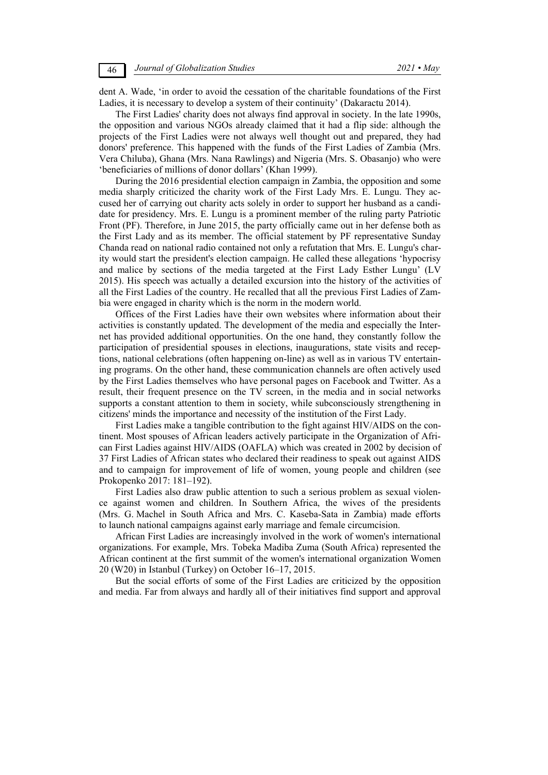dent A. Wade, 'in order to avoid the cessation of the charitable foundations of the First Ladies, it is necessary to develop a system of their continuity' (Dakaractu 2014).

The First Ladies' charity does not always find approval in society. In the late 1990s, the opposition and various NGOs already claimed that it had a flip side: although the projects of the First Ladies were not always well thought out and prepared, they had donors' preference. This happened with the funds of the First Ladies of Zambia (Mrs. Vera Chiluba), Ghana (Mrs. Nana Rawlings) and Nigeria (Mrs. S. Obasanjo) who were 'beneficiaries of millions of donor dollars' (Khan 1999).

During the 2016 presidential election campaign in Zambia, the opposition and some media sharply criticized the charity work of the First Lady Mrs. E. Lungu. They accused her of carrying out charity acts solely in order to support her husband as a candidate for presidency. Mrs. E. Lungu is a prominent member of the ruling party Patriotic Front (PF). Therefore, in June 2015, the party officially came out in her defense both as the First Lady and as its member. The official statement by PF representative Sunday Chanda read on national radio contained not only a refutation that Mrs. E. Lungu's charity would start the president's election campaign. He called these allegations 'hypocrisy and malice by sections of the media targeted at the First Lady Esther Lungu' (LV 2015). His speech was actually a detailed excursion into the history of the activities of all the First Ladies of the country. He recalled that all the previous First Ladies of Zambia were engaged in charity which is the norm in the modern world.

Offices of the First Ladies have their own websites where information about their activities is constantly updated. The development of the media and especially the Internet has provided additional opportunities. On the one hand, they constantly follow the participation of presidential spouses in elections, inaugurations, state visits and receptions, national celebrations (often happening on-line) as well as in various TV entertaining programs. On the other hand, these communication channels are often actively used by the First Ladies themselves who have personal pages on Facebook and Twitter. As a result, their frequent presence on the TV screen, in the media and in social networks supports a constant attention to them in society, while subconsciously strengthening in citizens' minds the importance and necessity of the institution of the First Lady.

First Ladies make a tangible contribution to the fight against HIV/AIDS on the continent. Most spouses of African leaders actively participate in the Organization of African First Ladies against HIV/AIDS (OAFLA) which was created in 2002 by decision of 37 First Ladies of African states who declared their readiness to speak out against AIDS and to campaign for improvement of life of women, young people and children (see Prokopenko 2017: 181-192).

First Ladies also draw public attention to such a serious problem as sexual violence against women and children. In Southern Africa, the wives of the presidents (Mrs. G. Machel in South Africa and Mrs. C. Kaseba-Sata in Zambia) made efforts to launch national campaigns against early marriage and female circumcision.

African First Ladies are increasingly involved in the work of women's international organizations. For example, Mrs. Tobeka Madiba Zuma (South Africa) represented the African continent at the first summit of the women's international organization Women 20 (W20) in Istanbul (Turkey) on October 16–17, 2015.

But the social efforts of some of the First Ladies are criticized by the opposition and media. Far from always and hardly all of their initiatives find support and approval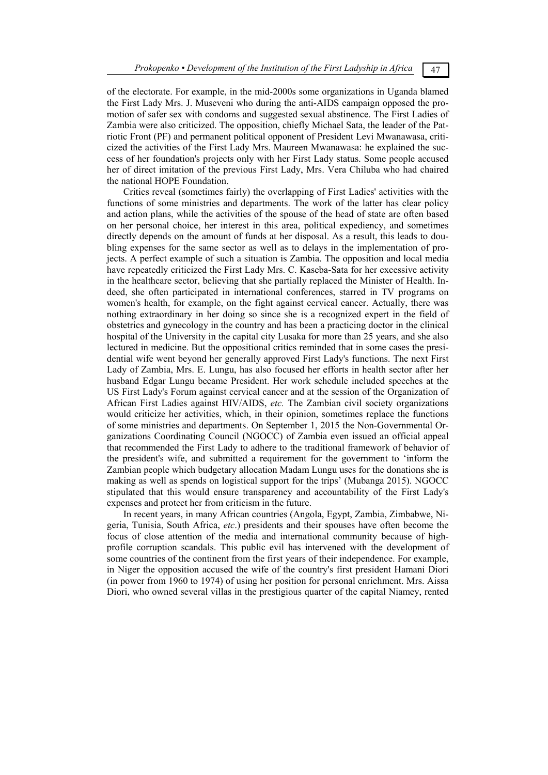of the electorate. For example, in the mid-2000s some organizations in Uganda blamed the First Lady Mrs. J. Museveni who during the anti-AIDS campaign opposed the promotion of safer sex with condoms and suggested sexual abstinence. The First Ladies of Zambia were also criticized. The opposition, chiefly Michael Sata, the leader of the Patriotic Front (PF) and permanent political opponent of President Levi Mwanawasa, criticized the activities of the First Lady Mrs. Maureen Mwanawasa: he explained the success of her foundation's projects only with her First Lady status. Some people accused her of direct imitation of the previous First Lady, Mrs. Vera Chiluba who had chaired the national HOPE Foundation.

Critics reveal (sometimes fairly) the overlapping of First Ladies' activities with the functions of some ministries and departments. The work of the latter has clear policy and action plans, while the activities of the spouse of the head of state are often based on her personal choice, her interest in this area, political expediency, and sometimes directly depends on the amount of funds at her disposal. As a result, this leads to doubling expenses for the same sector as well as to delays in the implementation of projects. A perfect example of such a situation is Zambia. The opposition and local media have repeatedly criticized the First Lady Mrs. C. Kaseba-Sata for her excessive activity in the healthcare sector, believing that she partially replaced the Minister of Health. Indeed, she often participated in international conferences, starred in TV programs on women's health, for example, on the fight against cervical cancer. Actually, there was nothing extraordinary in her doing so since she is a recognized expert in the field of obstetrics and gynecology in the country and has been a practicing doctor in the clinical hospital of the University in the capital city Lusaka for more than 25 years, and she also lectured in medicine. But the oppositional critics reminded that in some cases the presidential wife went beyond her generally approved First Lady's functions. The next First Lady of Zambia, Mrs. E. Lungu, has also focused her efforts in health sector after her husband Edgar Lungu became President. Her work schedule included speeches at the US First Lady's Forum against cervical cancer and at the session of the Organization of African First Ladies against HIV/AIDS, *etc.* The Zambian civil society organizations would criticize her activities, which, in their opinion, sometimes replace the functions of some ministries and departments. On September 1, 2015 the Non-Governmental Organizations Coordinating Council (NGOCC) of Zambia even issued an official appeal that recommended the First Lady to adhere to the traditional framework of behavior of the president's wife, and submitted a requirement for the government to 'inform the Zambian people which budgetary allocation Madam Lungu uses for the donations she is making as well as spends on logistical support for the trips' (Mubanga 2015). NGOCC stipulated that this would ensure transparency and accountability of the First Lady's expenses and protect her from criticism in the future.

In recent years, in many African countries (Angola, Egypt, Zambia, Zimbabwe, Nigeria, Tunisia, South Africa, *etc*.) presidents and their spouses have often become the focus of close attention of the media and international community because of highprofile corruption scandals. This public evil has intervened with the development of some countries of the continent from the first years of their independence. For example, in Niger the opposition accused the wife of the country's first president Hamani Diori (in power from 1960 to 1974) of using her position for personal enrichment. Mrs. Aissa Diori, who owned several villas in the prestigious quarter of the capital Niamey, rented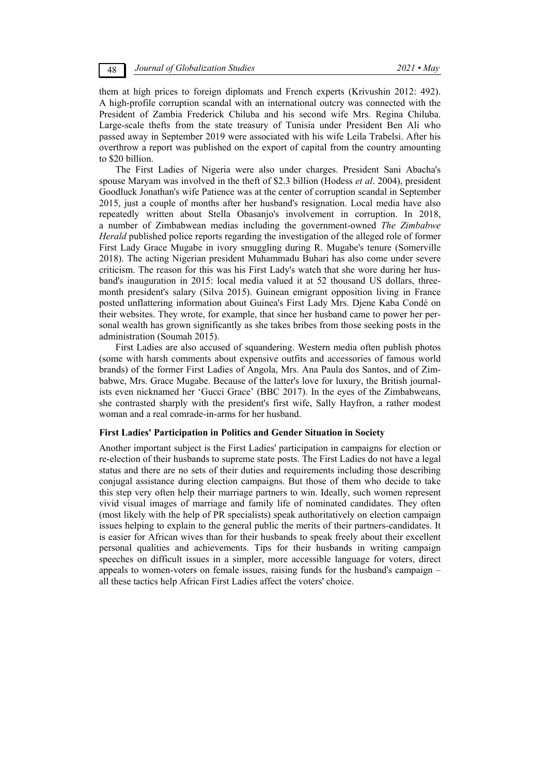them at high prices to foreign diplomats and French experts (Krivushin 2012: 492). A high-profile corruption scandal with an international outcry was connected with the President of Zambia Frederick Chiluba and his second wife Mrs. Regina Chiluba. Large-scale thefts from the state treasury of Tunisia under President Ben Ali who passed away in September 2019 were associated with his wife Leila Trabelsi. After his overthrow a report was published on the export of capital from the country amounting to \$20 billion.

The First Ladies of Nigeria were also under charges. President Sani Abacha's spouse Maryam was involved in the theft of \$2.3 billion (Hodess *et al*. 2004), president Goodluck Jonathan's wife Patience was at the center of corruption scandal in September 2015, just a couple of months after her husband's resignation. Local media have also repeatedly written about Stella Obasanjo's involvement in corruption. In 2018, a number of Zimbabwean medias including the government-owned *The Zimbabwe Herald* published police reports regarding the investigation of the alleged role of former First Lady Grace Mugabe in ivory smuggling during R. Mugabe's tenure (Somerville 2018). The acting Nigerian president Muhammadu Buhari has also come under severe criticism. The reason for this was his First Lady's watch that she wore during her husband's inauguration in 2015: local media valued it at 52 thousand US dollars, threemonth president's salary (Silva 2015). Guinean emigrant opposition living in France posted unflattering information about Guinea's First Lady Mrs. Djene Kaba Condé on their websites. They wrote, for example, that since her husband came to power her personal wealth has grown significantly as she takes bribes from those seeking posts in the administration (Soumah 2015).

First Ladies are also accused of squandering. Western media often publish photos (some with harsh comments about expensive outfits and accessories of famous world brands) of the former First Ladies of Angola, Mrs. Ana Paula dos Santos, and of Zimbabwe, Mrs. Grace Mugabe. Because of the latter's love for luxury, the British journalists even nicknamed her 'Gucci Grace' (BBC 2017). In the eyes of the Zimbabweans, she contrasted sharply with the president's first wife, Sally Hayfron, a rather modest woman and a real comrade-in-arms for her husband.

### **First Ladies' Participation in Politics and Gender Situation in Society**

Another important subject is the First Ladies' participation in campaigns for election or re-election of their husbands to supreme state posts. The First Ladies do not have a legal status and there are no sets of their duties and requirements including those describing conjugal assistance during election campaigns. But those of them who decide to take this step very often help their marriage partners to win. Ideally, such women represent vivid visual images of marriage and family life of nominated candidates. They often (most likely with the help of PR specialists) speak authoritatively on election campaign issues helping to explain to the general public the merits of their partners-candidates. It is easier for African wives than for their husbands to speak freely about their excellent personal qualities and achievements. Tips for their husbands in writing campaign speeches on difficult issues in a simpler, more accessible language for voters, direct appeals to women-voters on female issues, raising funds for the husband's campaign – all these tactics help African First Ladies affect the voters' choice.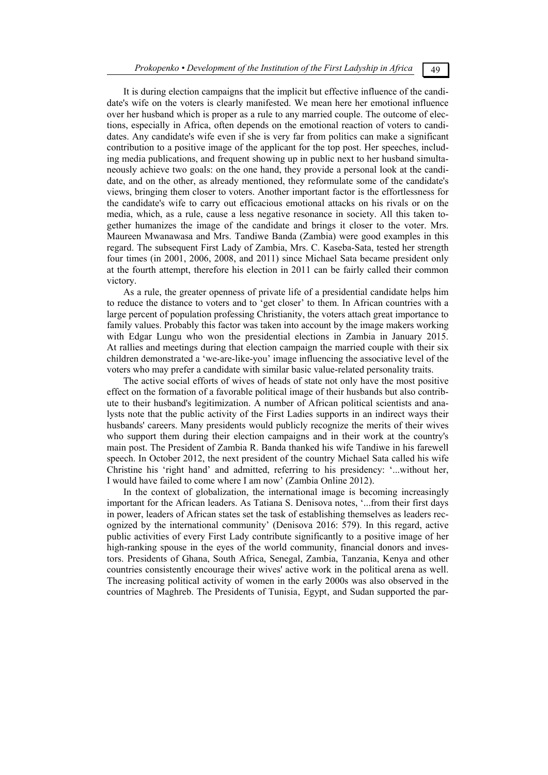It is during election campaigns that the implicit but effective influence of the candidate's wife on the voters is clearly manifested. We mean here her emotional influence over her husband which is proper as a rule to any married couple. The outcome of elections, especially in Africa, often depends on the emotional reaction of voters to candidates. Any candidate's wife even if she is very far from politics can make a significant contribution to a positive image of the applicant for the top post. Her speeches, including media publications, and frequent showing up in public next to her husband simultaneously achieve two goals: on the one hand, they provide a personal look at the candidate, and on the other, as already mentioned, they reformulate some of the candidate's views, bringing them closer to voters. Another important factor is the effortlessness for the candidate's wife to carry out efficacious emotional attacks on his rivals or on the media, which, as a rule, cause a less negative resonance in society. All this taken together humanizes the image of the candidate and brings it closer to the voter. Mrs. Maureen Mwanawasa and Mrs. Tandiwe Banda (Zambia) were good examples in this regard. The subsequent First Lady of Zambia, Mrs. C. Kaseba-Sata, tested her strength four times (in 2001, 2006, 2008, and 2011) since Michael Sata became president only at the fourth attempt, therefore his election in 2011 can be fairly called their common victory.

As a rule, the greater openness of private life of a presidential candidate helps him to reduce the distance to voters and to 'get closer' to them. In African countries with a large percent of population professing Christianity, the voters attach great importance to family values. Probably this factor was taken into account by the image makers working with Edgar Lungu who won the presidential elections in Zambia in January 2015. At rallies and meetings during that election campaign the married couple with their six children demonstrated a 'we-are-like-you' image influencing the associative level of the voters who may prefer a candidate with similar basic value-related personality traits.

The active social efforts of wives of heads of state not only have the most positive effect on the formation of a favorable political image of their husbands but also contribute to their husband's legitimization. A number of African political scientists and analysts note that the public activity of the First Ladies supports in an indirect ways their husbands' careers. Many presidents would publicly recognize the merits of their wives who support them during their election campaigns and in their work at the country's main post. The President of Zambia R. Banda thanked his wife Tandiwe in his farewell speech. In October 2012, the next president of the country Michael Sata called his wife Christine his 'right hand' and admitted, referring to his presidency: '...without her, I would have failed to come where I am now' (Zambia Online 2012).

In the context of globalization, the international image is becoming increasingly important for the African leaders. As Tatiana S. Denisova notes, '...from their first days in power, leaders of African states set the task of establishing themselves as leaders recognized by the international community' (Denisova 2016: 579). In this regard, active public activities of every First Lady contribute significantly to a positive image of her high-ranking spouse in the eyes of the world community, financial donors and investors. Presidents of Ghana, South Africa, Senegal, Zambia, Tanzania, Kenya and other countries consistently encourage their wives' active work in the political arena as well. The increasing political activity of women in the early 2000s was also observed in the countries of Maghreb. The Presidents of Tunisia. Egypt, and Sudan supported the par-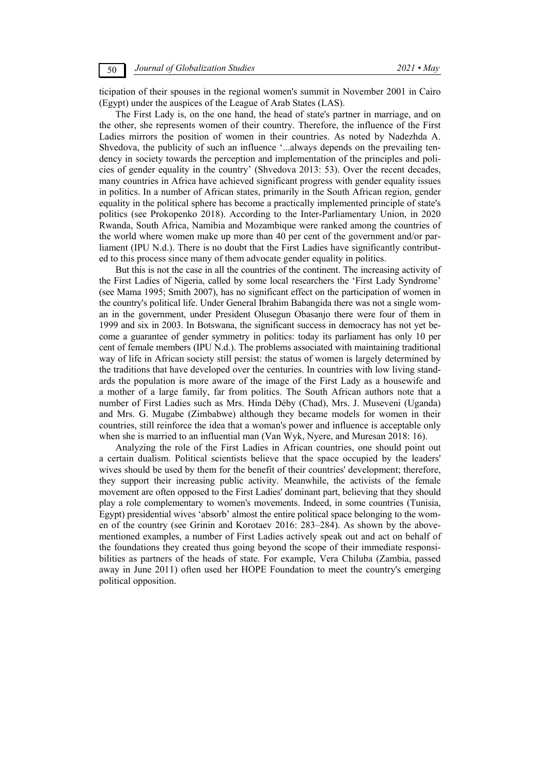ticipation of their spouses in the regional women's summit in November 2001 in Cairo (Egypt) under the auspices of the League of Arab States (LAS).

The First Lady is, on the one hand, the head of state's partner in marriage, and on the other, she represents women of their country. Therefore, the influence of the First Ladies mirrors the position of women in their countries. As noted by Nadezhda A. Shvedova, the publicity of such an influence '...always depends on the prevailing tendency in society towards the perception and implementation of the principles and policies of gender equality in the country' (Shvedova 2013: 53). Over the recent decades, many countries in Africa have achieved significant progress with gender equality issues in politics. In a number of African states, primarily in the South African region, gender equality in the political sphere has become a practically implemented principle of state's politics (see Prokopenko 2018). According to the Inter-Parliamentary Union, in 2020 Rwanda, South Africa, Namibia and Mozambique were ranked among the countries of the world where women make up more than 40 per cent of the government and/or parliament (IPU N.d.). There is no doubt that the First Ladies have significantly contributed to this process since many of them advocate gender equality in politics.

But this is not the case in all the countries of the continent. The increasing activity of the First Ladies of Nigeria, called by some local researchers the 'First Lady Syndrome' (see Mama 1995; Smith 2007), has no significant effect on the participation of women in the country's political life. Under General Ibrahim Babangida there was not a single woman in the government, under President Olusegun Obasanjo there were four of them in 1999 and six in 2003. In Botswana, the significant success in democracy has not yet become a guarantee of gender symmetry in politics: today its parliament has only 10 per cent of female members (IPU N.d.). The problems associated with maintaining traditional way of life in African society still persist: the status of women is largely determined by the traditions that have developed over the centuries. In countries with low living standards the population is more aware of the image of the First Lady as a housewife and a mother of a large family, far from politics. The South African authors note that a number of First Ladies such as Mrs. Hinda Déby (Chad), Mrs. J. Museveni (Uganda) and Mrs. G. Mugabe (Zimbabwe) although they became models for women in their countries, still reinforce the idea that a woman's power and influence is acceptable only when she is married to an influential man (Van Wyk, Nyere, and Muresan 2018: 16).

Analyzing the role of the First Ladies in African countries, one should point out a certain dualism. Political scientists believe that the space occupied by the leaders' wives should be used by them for the benefit of their countries' development; therefore, they support their increasing public activity. Meanwhile, the activists of the female movement are often opposed to the First Ladies' dominant part, believing that they should play a role complementary to women's movements. Indeed, in some countries (Tunisia, Egypt) presidential wives 'absorb' almost the entire political space belonging to the women of the country (see Grinin and Korotaev 2016: 283–284). As shown by the abovementioned examples, a number of First Ladies actively speak out and act on behalf of the foundations they created thus going beyond the scope of their immediate responsibilities as partners of the heads of state. For example, Vera Chiluba (Zambia, passed away in June 2011) often used her HOPE Foundation to meet the country's emerging political opposition.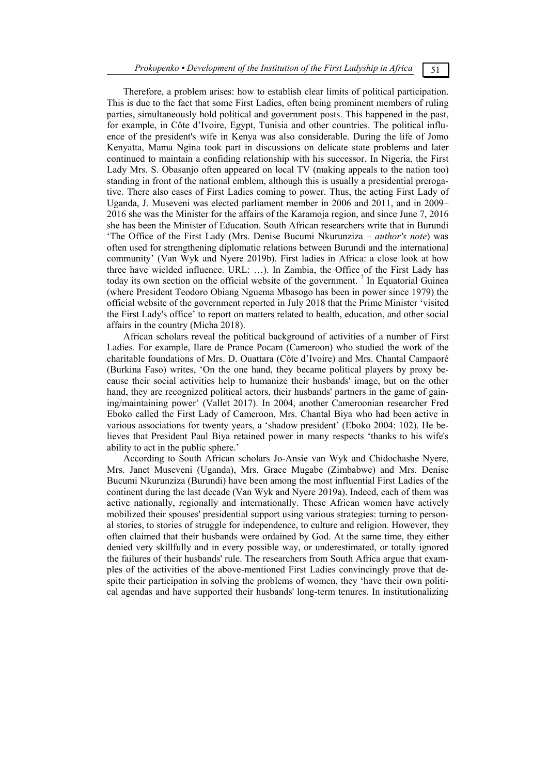Therefore, a problem arises: how to establish clear limits of political participation. This is due to the fact that some First Ladies, often being prominent members of ruling parties, simultaneously hold political and government posts. This happened in the past, for example, in Côte d'Ivoire, Egypt, Tunisia and other countries. The political influence of the president's wife in Kenya was also considerable. During the life of Jomo Kenyatta, Mama Ngina took part in discussions on delicate state problems and later continued to maintain a confiding relationship with his successor. In Nigeria, the First Lady Mrs. S. Obasanjo often appeared on local TV (making appeals to the nation too) standing in front of the national emblem, although this is usually a presidential prerogative. There also cases of First Ladies coming to power. Thus, the acting First Lady of Uganda, J. Museveni was elected parliament member in 2006 and 2011, and in 2009– 2016 she was the Minister for the affairs of the Karamoja region, and since June 7, 2016 she has been the Minister of Education. South African researchers write that in Burundi 'The Office of the First Lady (Mrs. Denise Bucumi Nkurunziza – *author's note*) was often used for strengthening diplomatic relations between Burundi and the international community' (Van Wyk and Nyere 2019b). First ladies in Africa: a close look at how three have wielded influence. URL: …). In Zambia, the Office of the First Lady has today its own section on the official website of the government.<sup>7</sup> In Equatorial Guinea (where President Teodoro Obiang Nguema Mbasogo has been in power since 1979) the official website of the government reported in July 2018 that the Prime Minister 'visited the First Lady's office' to report on matters related to health, education, and other social affairs in the country (Micha 2018).

African scholars reveal the political background of activities of a number of First Ladies. For example, Ilare de Prance Pocam (Cameroon) who studied the work of the charitable foundations of Mrs. D. Ouattara (Côte d'Ivoire) and Mrs. Chantal Campaoré (Burkina Faso) writes, 'On the one hand, they became political players by proxy because their social activities help to humanize their husbands' image, but on the other hand, they are recognized political actors, their husbands' partners in the game of gaining/maintaining power' (Vallet 2017). In 2004, another Cameroonian researcher Fred Eboko called the First Lady of Cameroon, Mrs. Chantal Biya who had been active in various associations for twenty years, a 'shadow president' (Eboko 2004: 102). He believes that President Paul Biya retained power in many respects 'thanks to his wife's ability to act in the public sphere.'

According to South African scholars Jo-Ansie van Wyk and Chidochashe Nyere, Mrs. Janet Museveni (Uganda), Mrs. Grace Mugabe (Zimbabwe) and Mrs. Denise Bucumi Nkurunziza (Burundi) have been among the most influential First Ladies of the continent during the last decade (Van Wyk and Nyere 2019a). Indeed, each of them was active nationally, regionally and internationally. These African women have actively mobilized their spouses' presidential support using various strategies: turning to personal stories, to stories of struggle for independence, to culture and religion. However, they often claimed that their husbands were ordained by God. At the same time, they either denied very skillfully and in every possible way, or underestimated, or totally ignored the failures of their husbands' rule. The researchers from South Africa argue that examples of the activities of the above-mentioned First Ladies convincingly prove that despite their participation in solving the problems of women, they 'have their own political agendas and have supported their husbands' long-term tenures. In institutionalizing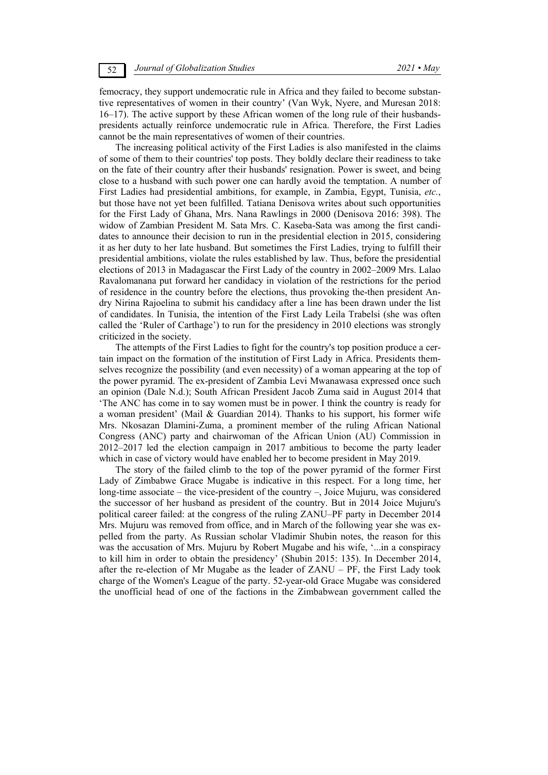femocracy, they support undemocratic rule in Africa and they failed to become substantive representatives of women in their country' (Van Wyk, Nyere, and Muresan 2018: 16–17). The active support by these African women of the long rule of their husbandspresidents actually reinforce undemocratic rule in Africa. Therefore, the First Ladies cannot be the main representatives of women of their countries.

The increasing political activity of the First Ladies is also manifested in the claims of some of them to their countries' top posts. They boldly declare their readiness to take on the fate of their country after their husbands' resignation. Power is sweet, and being close to a husband with such power one can hardly avoid the temptation. A number of First Ladies had presidential ambitions, for example, in Zambia, Egypt, Tunisia, *etc.*, but those have not yet been fulfilled. Tatiana Denisova writes about such opportunities for the First Lady of Ghana, Mrs. Nana Rawlings in 2000 (Denisova 2016: 398). The widow of Zambian President M. Sata Mrs. C. Kaseba-Sata was among the first candidates to announce their decision to run in the presidential election in 2015, considering it as her duty to her late husband. But sometimes the First Ladies, trying to fulfill their presidential ambitions, violate the rules established by law. Thus, before the presidential elections of 2013 in Madagascar the First Lady of the country in 2002–2009 Mrs. Lalao Ravalomanana put forward her candidacy in violation of the restrictions for the period of residence in the country before the elections, thus provoking the-then president Andry Nirina Rajoelina to submit his candidacy after a line has been drawn under the list of candidates. In Tunisia, the intention of the First Lady Leila Trabelsi (she was often called the 'Ruler of Carthage') to run for the presidency in 2010 elections was strongly criticized in the society.

The attempts of the First Ladies to fight for the country's top position produce a certain impact on the formation of the institution of First Lady in Africa. Presidents themselves recognize the possibility (and even necessity) of a woman appearing at the top of the power pyramid. The ex-president of Zambia Levi Mwanawasa expressed once such an opinion (Dale N.d.); South African President Jacob Zuma said in August 2014 that 'The ANC has come in to say women must be in power. I think the country is ready for a woman president' (Mail & Guardian 2014). Thanks to his support, his former wife Mrs. Nkosazan Dlamini-Zuma, a prominent member of the ruling African National Congress (ANC) party and chairwoman of the African Union (AU) Commission in 2012–2017 led the election campaign in 2017 ambitious to become the party leader which in case of victory would have enabled her to become president in May 2019.

The story of the failed climb to the top of the power pyramid of the former First Lady of Zimbabwe Grace Mugabe is indicative in this respect. For a long time, her long-time associate – the vice-president of the country –, Joice Mujuru, was considered the successor of her husband as president of the country. But in 2014 Joice Mujuru's political career failed: at the congress of the ruling ZANU–PF party in December 2014 Mrs. Mujuru was removed from office, and in March of the following year she was expelled from the party. As Russian scholar Vladimir Shubin notes, the reason for this was the accusation of Mrs. Mujuru by Robert Mugabe and his wife, '...in a conspiracy to kill him in order to obtain the presidency' (Shubin 2015: 135). In December 2014, after the re-election of Mr Mugabe as the leader of ZANU – PF, the First Lady took charge of the Women's League of the party. 52-year-old Grace Mugabe was considered the unofficial head of one of the factions in the Zimbabwean government called the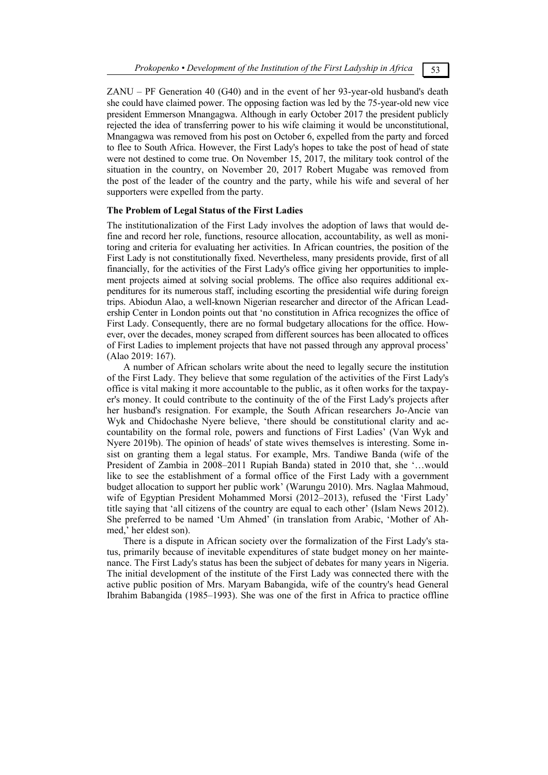ZANU – PF Generation 40 (G40) and in the event of her 93-year-old husband's death she could have claimed power. The opposing faction was led by the 75-year-old new vice president Emmerson Mnangagwa. Although in early October 2017 the president publicly rejected the idea of transferring power to his wife claiming it would be unconstitutional, Mnangagwa was removed from his post on October 6, expelled from the party and forced to flee to South Africa. However, the First Lady's hopes to take the post of head of state were not destined to come true. On November 15, 2017, the military took control of the situation in the country, on November 20, 2017 Robert Mugabe was removed from the post of the leader of the country and the party, while his wife and several of her supporters were expelled from the party.

## **The Problem of Legal Status of the First Ladies**

The institutionalization of the First Lady involves the adoption of laws that would define and record her role, functions, resource allocation, accountability, as well as monitoring and criteria for evaluating her activities. In African countries, the position of the First Lady is not constitutionally fixed. Nevertheless, many presidents provide, first of all financially, for the activities of the First Lady's office giving her opportunities to implement projects aimed at solving social problems. The office also requires additional expenditures for its numerous staff, including escorting the presidential wife during foreign trips. Abiodun Alao, a well-known Nigerian researcher and director of the African Leadership Center in London points out that 'no constitution in Africa recognizes the office of First Lady. Consequently, there are no formal budgetary allocations for the office. However, over the decades, money scraped from different sources has been allocated to offices of First Ladies to implement projects that have not passed through any approval process' (Alao 2019: 167).

A number of African scholars write about the need to legally secure the institution of the First Lady. They believe that some regulation of the activities of the First Lady's office is vital making it more accountable to the public, as it often works for the taxpayer's money. It could contribute to the continuity of the of the First Lady's projects after her husband's resignation. For example, the South African researchers Jo-Ancie van Wyk and Chidochashe Nyere believe, 'there should be constitutional clarity and accountability on the formal role, powers and functions of First Ladies' (Van Wyk and Nyere 2019b). The opinion of heads' of state wives themselves is interesting. Some insist on granting them a legal status. For example, Mrs. Tandiwe Banda (wife of the President of Zambia in 2008–2011 Rupiah Banda) stated in 2010 that, she '…would like to see the establishment of a formal office of the First Lady with a government budget allocation to support her public work' (Warungu 2010). Mrs. Naglaa Mahmoud, wife of Egyptian President Mohammed Morsi (2012–2013), refused the 'First Lady' title saying that 'all citizens of the country are equal to each other' (Islam News 2012). She preferred to be named 'Um Ahmed' (in translation from Arabic, 'Mother of Ahmed,' her eldest son).

There is a dispute in African society over the formalization of the First Lady's status, primarily because of inevitable expenditures of state budget money on her maintenance. The First Lady's status has been the subject of debates for many years in Nigeria. The initial development of the institute of the First Lady was connected there with the active public position of Mrs. Maryam Babangida, wife of the country's head General Ibrahim Babangida (1985–1993). She was one of the first in Africa to practice offline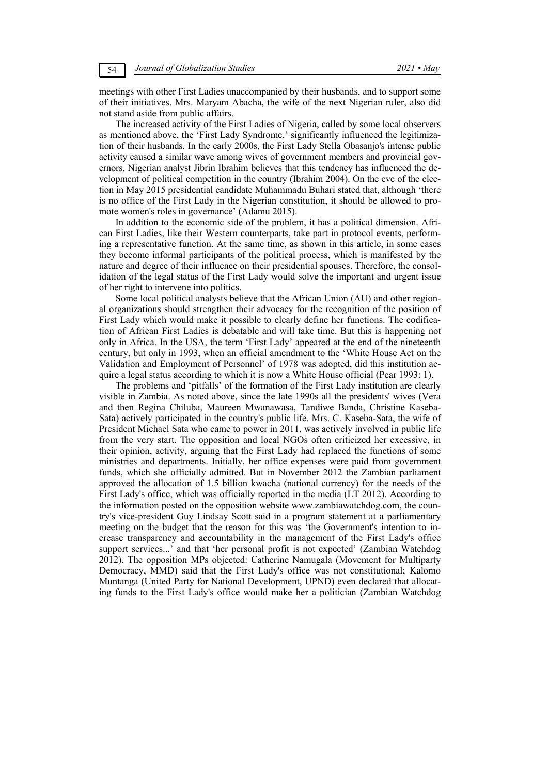meetings with other First Ladies unaccompanied by their husbands, and to support some of their initiatives. Mrs. Maryam Abacha, the wife of the next Nigerian ruler, also did not stand aside from public affairs.

The increased activity of the First Ladies of Nigeria, called by some local observers as mentioned above, the 'First Lady Syndrome,' significantly influenced the legitimization of their husbands. In the early 2000s, the First Lady Stella Obasanjo's intense public activity caused a similar wave among wives of government members and provincial governors. Nigerian analyst Jibrin Ibrahim believes that this tendency has influenced the development of political competition in the country (Ibrahim 2004). On the eve of the election in May 2015 presidential candidate Muhammadu Buhari stated that, although 'there is no office of the First Lady in the Nigerian constitution, it should be allowed to promote women's roles in governance' (Adamu 2015).

In addition to the economic side of the problem, it has a political dimension. African First Ladies, like their Western counterparts, take part in protocol events, performing a representative function. At the same time, as shown in this article, in some cases they become informal participants of the political process, which is manifested by the nature and degree of their influence on their presidential spouses. Therefore, the consolidation of the legal status of the First Lady would solve the important and urgent issue of her right to intervene into politics.

Some local political analysts believe that the African Union (AU) and other regional organizations should strengthen their advocacy for the recognition of the position of First Lady which would make it possible to clearly define her functions. The codification of African First Ladies is debatable and will take time. But this is happening not only in Africa. In the USA, the term 'First Lady' appeared at the end of the nineteenth century, but only in 1993, when an official amendment to the 'White House Act on the Validation and Employment of Personnel' of 1978 was adopted, did this institution acquire a legal status according to which it is now a White House official (Pear 1993: 1).

The problems and 'pitfalls' of the formation of the First Lady institution are clearly visible in Zambia. As noted above, since the late 1990s all the presidents' wives (Vera and then Regina Chiluba, Maureen Mwanawasa, Tandiwe Banda, Christine Kaseba-Sata) actively participated in the country's public life. Mrs. C. Kaseba-Sata, the wife of President Michael Sata who came to power in 2011, was actively involved in public life from the very start. The opposition and local NGOs often criticized her excessive, in their opinion, activity, arguing that the First Lady had replaced the functions of some ministries and departments. Initially, her office expenses were paid from government funds, which she officially admitted. But in November 2012 the Zambian parliament approved the allocation of 1.5 billion kwacha (national currency) for the needs of the First Lady's office, which was officially reported in the media (LT 2012). According to the information posted on the opposition website www.zambiawatchdog.com, the country's vice-president Guy Lindsay Scott said in a program statement at a parliamentary meeting on the budget that the reason for this was 'the Government's intention to increase transparency and accountability in the management of the First Lady's office support services...' and that 'her personal profit is not expected' (Zambian Watchdog 2012). The opposition MPs objected: Catherine Namugala (Movement for Multiparty Democracy, MMD) said that the First Lady's office was not constitutional; Kalomo Muntanga (United Party for National Development, UPND) even declared that allocating funds to the First Lady's office would make her a politician (Zambian Watchdog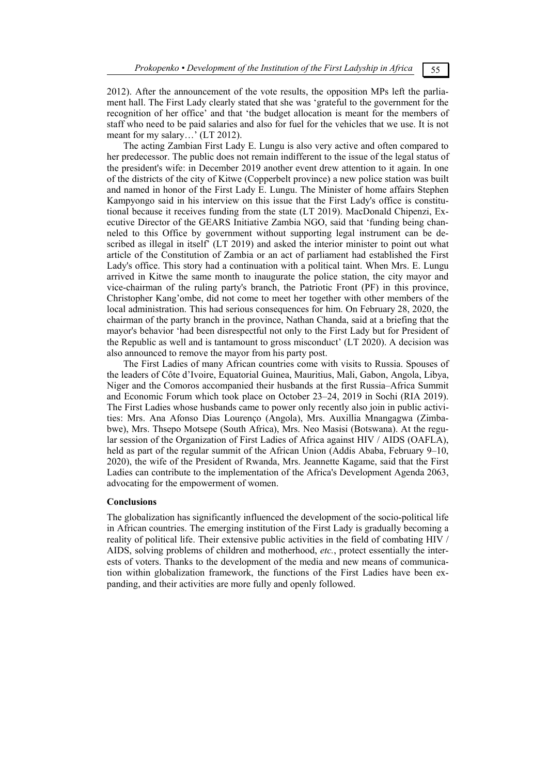2012). After the announcement of the vote results, the opposition MPs left the parliament hall. The First Lady clearly stated that she was 'grateful to the government for the recognition of her office' and that 'the budget allocation is meant for the members of staff who need to be paid salaries and also for fuel for the vehicles that we use. It is not meant for my salary…' (LT 2012).

The acting Zambian First Lady E. Lungu is also very active and often compared to her predecessor. The public does not remain indifferent to the issue of the legal status of the president's wife: in December 2019 another event drew attention to it again. In one of the districts of the city of Kitwe (Copperbelt province) a new police station was built and named in honor of the First Lady E. Lungu. The Minister of home affairs Stephen Kampyongo said in his interview on this issue that the First Lady's office is constitutional because it receives funding from the state (LT 2019). MacDonald Chipenzi, Executive Director of the GEARS Initiative Zambia NGO, said that 'funding being channeled to this Office by government without supporting legal instrument can be described as illegal in itself' (LT 2019) and asked the interior minister to point out what article of the Constitution of Zambia or an act of parliament had established the First Lady's office. This story had a continuation with a political taint. When Mrs. E. Lungu arrived in Kitwe the same month to inaugurate the police station, the city mayor and vice-chairman of the ruling party's branch, the Patriotic Front (PF) in this province, Christopher Kang'ombe, did not come to meet her together with other members of the local administration. This had serious consequences for him. On February 28, 2020, the chairman of the party branch in the province, Nathan Chanda, said at a briefing that the mayor's behavior 'had been disrespectful not only to the First Lady but for President of the Republic as well and is tantamount to gross misconduct' (LT 2020). A decision was also announced to remove the mayor from his party post.

The First Ladies of many African countries come with visits to Russia. Spouses of the leaders of Côte d'Ivoire, Equatorial Guinea, Mauritius, Mali, Gabon, Angola, Libya, Niger and the Comoros accompanied their husbands at the first Russia–Africa Summit and Economic Forum which took place on October 23–24, 2019 in Sochi (RIA 2019). The First Ladies whose husbands came to power only recently also join in public activities: Mrs. Ana Afonso Dias Lourenço (Angola), Mrs. Auxillia Mnangagwa (Zimbabwe), Mrs. Thsepo Motsepe (South Africa), Mrs. Neo Masisi (Botswana). At the regular session of the Organization of First Ladies of Africa against HIV / AIDS (OAFLA), held as part of the regular summit of the African Union (Addis Ababa, February 9–10, 2020), the wife of the President of Rwanda, Mrs. Jeannette Kagame, said that the First Ladies can contribute to the implementation of the Africa's Development Agenda 2063, advocating for the empowerment of women.

## **Conclusions**

The globalization has significantly influenced the development of the socio-political life in African countries. The emerging institution of the First Lady is gradually becoming a reality of political life. Their extensive public activities in the field of combating HIV / AIDS, solving problems of children and motherhood, *etc.*, protect essentially the interests of voters. Thanks to the development of the media and new means of communication within globalization framework, the functions of the First Ladies have been expanding, and their activities are more fully and openly followed.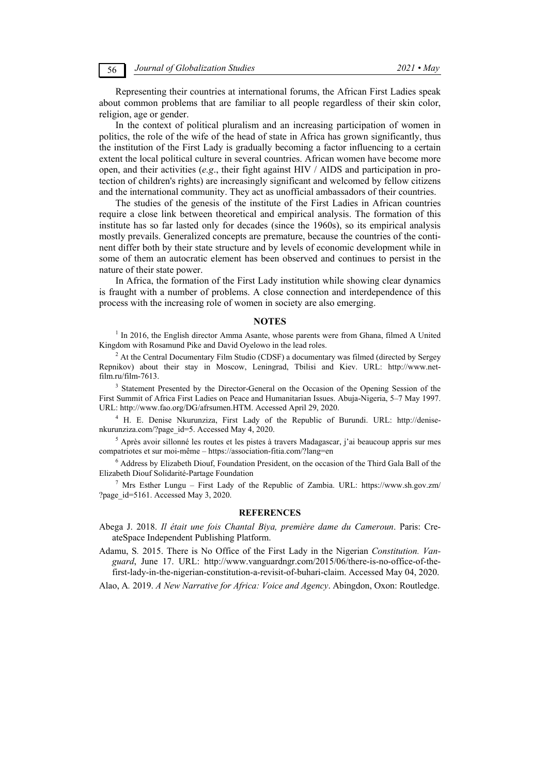Representing their countries at international forums, the African First Ladies speak about common problems that are familiar to all people regardless of their skin color, religion, age or gender.

In the context of political pluralism and an increasing participation of women in politics, the role of the wife of the head of state in Africa has grown significantly, thus the institution of the First Lady is gradually becoming a factor influencing to a certain extent the local political culture in several countries. African women have become more open, and their activities (*e.g*., their fight against HIV / AIDS and participation in protection of children's rights) are increasingly significant and welcomed by fellow citizens and the international community. They act as unofficial ambassadors of their countries.

The studies of the genesis of the institute of the First Ladies in African countries require a close link between theoretical and empirical analysis. The formation of this institute has so far lasted only for decades (since the 1960s), so its empirical analysis mostly prevails. Generalized concepts are premature, because the countries of the continent differ both by their state structure and by levels of economic development while in some of them an autocratic element has been observed and continues to persist in the nature of their state power.

In Africa, the formation of the First Lady institution while showing clear dynamics is fraught with a number of problems. A close connection and interdependence of this process with the increasing role of women in society are also emerging.

### **NOTES**

<sup>1</sup> In 2016, the English director Amma Asante, whose parents were from Ghana, filmed A United Kingdom with Rosamund Pike and David Oyelowo in the lead roles.

 $2$  At the Central Documentary Film Studio (CDSF) a documentary was filmed (directed by Sergey Repnikov) about their stay in Moscow, Leningrad, Tbilisi and Kiev. URL: http://www.netfilm.ru/film-7613.

<sup>3</sup> Statement Presented by the Director-General on the Occasion of the Opening Session of the First Summit of Africa First Ladies on Peace and Humanitarian Issues. Abuja-Nigeria, 5–7 May 1997. URL: http://www.fao.org/DG/afrsumen.HTM. Accessed April 29, 2020.

<sup>4</sup> H. E. Denise Nkurunziza, First Lady of the Republic of Burundi. URL: http://denisenkurunziza.com/?page\_id=5. Accessed May 4, 2020.

<sup>5</sup> Après avoir sillonné les routes et les pistes à travers Madagascar, j'ai beaucoup appris sur mes compatriotes et sur moi-même – https://association-fitia.com/?lang=en

<sup>6</sup> Address by Elizabeth Diouf, Foundation President, on the occasion of the Third Gala Ball of the Elizabeth Diouf Solidarité-Partage Foundation

<sup>7</sup> Mrs Esther Lungu – First Lady of the Republic of Zambia. URL: https://www.sh.gov.zm/ ?page\_id=5161. Accessed May 3, 2020.

### **REFERENCES**

Abega J. 2018. *Il était une fois Chantal Biya, première dame du Cameroun*. Paris: CreateSpace Independent Publishing Platform.

Adamu, S*.* 2015. There is No Office of the First Lady in the Nigerian *Constitution. Vanguard*, June 17. URL: http://www.vanguardngr.com/2015/06/there-is-no-office-of-thefirst-lady-in-the-nigerian-constitution-a-revisit-of-buhari-claim. Accessed May 04, 2020.

Alao, A*.* 2019. *A New Narrative for Africa: Voice and Agency*. Abingdon, Oxon: Routledge.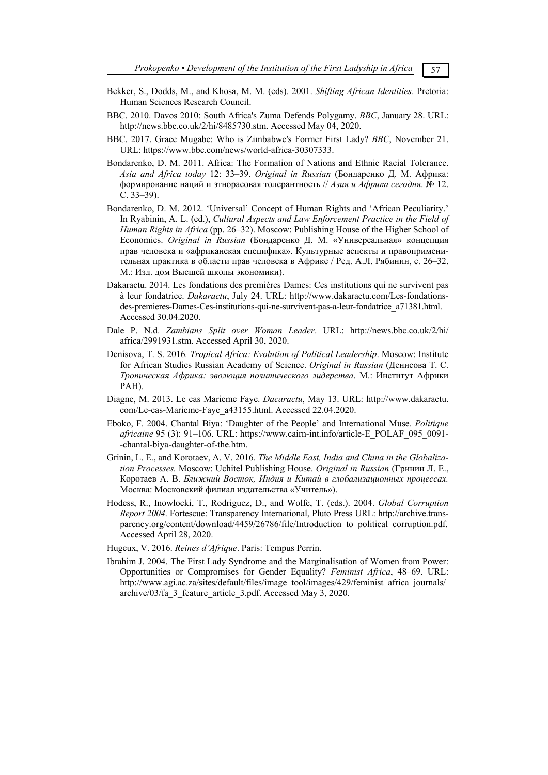- 
- Bekker, S., Dodds, M., and Khosa, M. M. (eds). 2001. *Shifting African Identities*. Pretoria: Human Sciences Research Council.
- BBC. 2010. Davos 2010: South Africa's Zuma Defends Polygamy. *BBC*, January 28. URL: http://news.bbc.co.uk/2/hi/8485730.stm. Accessed May 04, 2020.
- BBC. 2017. Grace Mugabe: Who is Zimbabwe's Former First Lady? *BBC*, November 21. URL: https://www.bbc.com/news/world-africa-30307333.
- Bondarenko, D. M. 2011. Africa: The Formation of Nations and Ethnic Racial Tolerance. *Asia and Africa today* 12: 33–39. *Original in Russian* (Бондаренко Д. М. Африка: формирование наций и этнорасовая толерантность // *Азия и Африка сегодня*. № 12. С. 33–39).
- Bondarenko, D. M. 2012. 'Universal' Concept of Human Rights and 'African Peculiarity.' In Ryabinin, A. L. (ed.), *Cultural Aspects and Law Enforcement Practice in the Field of Human Rights in Africa* (pp. 26–32). Moscow: Publishing House of the Higher School of Economics. *Original in Russian* (Бондаренко Д. М. «Универсальная» концепция прав человека и «африканская специфика». Культурные аспекты и правоприменительная практика в области прав человека в Африке / Ред. А.Л. Рябинин, с. 26–32. М.: Изд. дом Высшей школы экономики).
- Dakaractu. 2014. Les fondations des premières Dames: Ces institutions qui ne survivent pas à leur fondatrice. *Dakaractu*, July 24. URL: http://www.dakaractu.com/Les-fondationsdes-premieres-Dames-Ces-institutions-qui-ne-survivent-pas-a-leur-fondatrice\_a71381.html. Accessed 30.04.2020.
- Dale P. N.d. *Zambians Split over Woman Leader*. URL: http://news.bbc.co.uk/2/hi/ africa/2991931.stm. Accessed April 30, 2020.
- Denisova, T. S. 2016*. Tropical Africa: Evolution of Political Leadership*. Moscow: Institute for African Studies Russian Academy of Science. *Original in Russian* (Денисова Т. С. *Тропическая Африка: эволюция политического лидерства*. М.: Институт Африки РАН).
- Diagne, M. 2013. Le cas Marieme Faye. *Dacaractu*, May 13. URL: http://www.dakaractu. com/Le-cas-Marieme-Faye\_a43155.html. Accessed 22.04.2020.
- Eboko, F. 2004. Chantal Biya: 'Daughter of the People' and International Muse. *Politique africaine* 95 (3): 91–106. URL: https://www.cairn-int.info/article-E\_POLAF\_095\_0091- -chantal-biya-daughter-of-the.htm.
- Grinin, L. E., and Korotaev, A. V. 2016. *The Middle East, India and China in the Globalization Processes.* Moscow: Uchitel Publishing House. *Original in Russian* (Гринин Л. Е., Коротаев А. В. *Ближний Восток, Индия и Китай в глобализационных процессах.* Москва: Московский филиал издательства «Учитель»).
- Hodess, R., Inowlocki, T., Rodriguez, D., and Wolfe, T. (eds.). 2004. *Global Corruption Report 2004*. Fortescue: Transparency International, Pluto Press URL: http://archive.transparency.org/content/download/4459/26786/file/Introduction\_to\_political\_corruption.pdf. Accessed April 28, 2020.
- Hugeux, V. 2016. *Reines d'Afrique*. Paris: Tempus Perrin.
- Ibrahim J. 2004. The First Lady Syndrome and the Marginalisation of Women from Power: Opportunities or Compromises for Gender Equality? *Feminist Africa*, 48–69. URL: http://www.agi.ac.za/sites/default/files/image\_tool/images/429/feminist\_africa\_journals/ archive/03/fa\_3\_feature\_article\_3.pdf. Accessed May 3, 2020.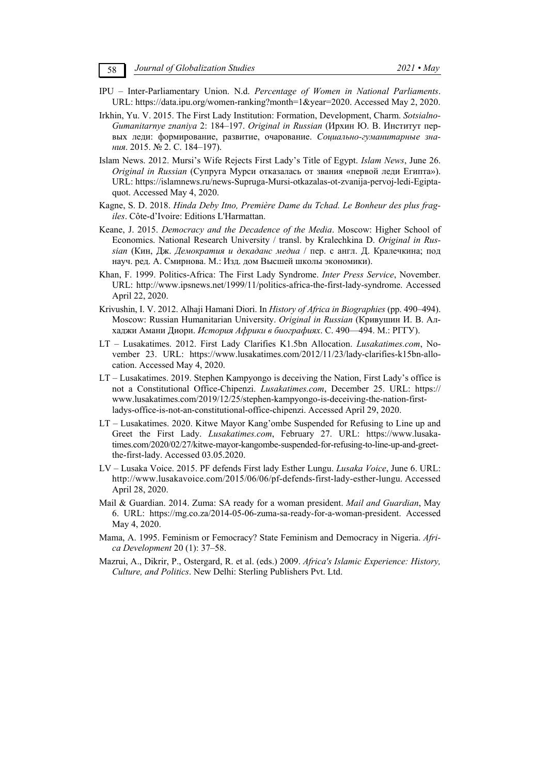- IPU Inter-Parliamentary Union. N.d. *Percentage of Women in National Parliaments*. URL: https://data.ipu.org/women-ranking?month=1&year=2020. Accessed May 2, 2020.
- Irkhin, Yu. V. 2015. The First Lady Institution: Formation, Development, Charm. *Sotsialno-Gumanitarnye znaniya* 2: 184–197. *Original in Russian* (Ирхин Ю. В. Институт первых леди: формирование, развитие, очарование. *Социально-гуманитарные знания*. 2015. № 2. С. 184–197).
- Islam News. 2012. Mursi's Wife Rejects First Lady's Title of Egypt. *Islam News*, June 26. *Original in Russian* (Супруга Мурси отказалась от звания «первой леди Египта»). URL: https://islamnews.ru/news-Supruga-Mursi-otkazalas-ot-zvanija-pervoj-ledi-Egiptaquot. Accessed May 4, 2020.
- Kagne, S. D. 2018. *Hinda Deby Itno, Première Dame du Tchad. Le Bonheur des plus fragiles*. Côte-d'Ivoire: Editions L'Harmattan.
- Keane, J. 2015. *Democracy and the Decadence of the Media*. Moscow: Higher School of Economics. National Research University / transl. by Kralechkina D. *Original in Russian* (Кин, Дж. *Демократия и декаданс медиа* / пер. с англ. Д. Кралечкина; под науч. ред. А. Смирнова. М.: Изд. дом Высшей школы экономики).
- Khan, F. 1999. Politics-Africa: The First Lady Syndrome. *Inter Press Service*, November. URL: http://www.ipsnews.net/1999/11/politics-africa-the-first-lady-syndrome. Accessed April 22, 2020.
- Krivushin, I. V. 2012. Alhaji Hamani Diori. In *History of Africa in Biographies* (pp. 490–494). Moscow: Russian Humanitarian University. *Original in Russian* (Кривушин И. В. Алхаджи Амани Диори. *История Африки в биографиях*. С. 490—494. М.: РГГУ).
- LT Lusakatimes. 2012. First Lady Clarifies K1.5bn Allocation. *Lusakatimes.com*, November 23. URL: https://www.lusakatimes.com/2012/11/23/lady-clarifies-k15bn-allocation. Accessed May 4, 2020.
- LT Lusakatimes. 2019. Stephen Kampyongo is deceiving the Nation, First Lady's office is not a Constitutional Office-Chipenzi. *Lusakatimes.com*, December 25. URL: https:// www.lusakatimes.com/2019/12/25/stephen-kampyongo-is-deceiving-the-nation-firstladys-office-is-not-an-constitutional-office-chipenzi. Accessed April 29, 2020.
- LT Lusakatimes. 2020. Kitwe Mayor Kang'ombe Suspended for Refusing to Line up and Greet the First Lady. *Lusakatimes.com*, February 27. URL: https://www.lusakatimes.com/2020/02/27/kitwe-mayor-kangombe-suspended-for-refusing-to-line-up-and-greetthe-first-lady. Accessed 03.05.2020.
- LV Lusaka Voice. 2015. PF defends First lady Esther Lungu. *Lusaka Voice*, June 6. URL: http://www.lusakavoice.com/2015/06/06/pf-defends-first-lady-esther-lungu. Accessed April 28, 2020.
- Mail & Guardian. 2014. Zuma: SA ready for a woman president. *Mail and Guardian*, May 6. URL: https://mg.co.za/2014-05-06-zuma-sa-ready-for-a-woman-president. Accessed May 4, 2020.
- Mama, A. 1995. Feminism or Femocracy? State Feminism and Democracy in Nigeria. *Africa Development* 20 (1): 37–58.
- Mazrui, A., Dikrir, P., Ostergard, R. et al. (eds.) 2009. *Africa's Islamic Experience: History, Culture, and Politics*. New Delhi: Sterling Publishers Pvt. Ltd.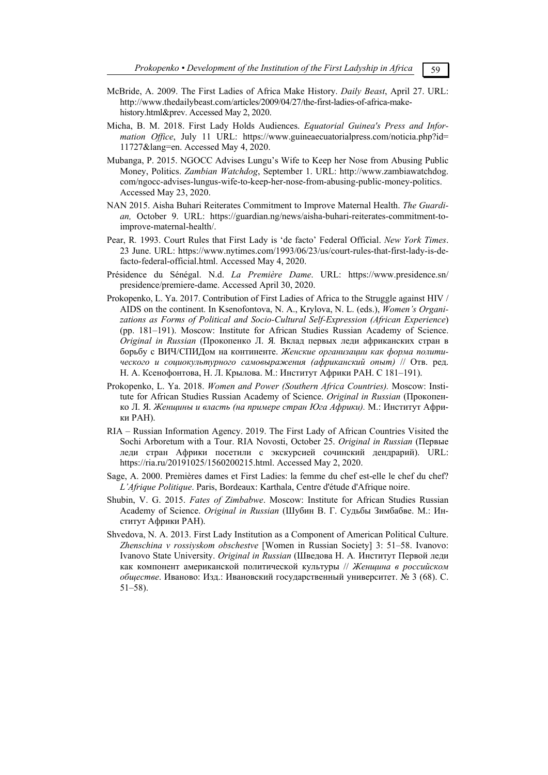- McBride, A. 2009. The First Ladies of Africa Make History. *Daily Beast*, April 27. URL: http://www.thedailybeast.com/articles/2009/04/27/the-first-ladies-of-africa-makehistory.html&prev. Accessed May 2, 2020.
- Micha, B. M. 2018. First Lady Holds Audiences. *Equatorial Guinea's Press and Information Office*, July 11 URL: https://www.guineaecuatorialpress.com/noticia.php?id= 11727&lang=en. Accessed May 4, 2020.
- Mubanga, P. 2015. NGOCC Advises Lungu's Wife to Keep her Nose from Abusing Public Money, Politics. *Zambian Watchdog*, September 1. URL: http://www.zambiawatchdog. com/ngocc-advises-lungus-wife-to-keep-her-nose-from-abusing-public-money-politics. Accessed May 23, 2020.
- NAN 2015. Aisha Buhari Reiterates Commitment to Improve Maternal Health. *The Guardian,* October 9. URL: https://guardian.ng/news/aisha-buhari-reiterates-commitment-toimprove-maternal-health/.
- Pear, R*.* 1993. Court Rules that First Lady is 'de facto' Federal Official. *New York Times*. 23 June. URL: https://www.nytimes.com/1993/06/23/us/court-rules-that-first-lady-is-defacto-federal-official.html. Accessed May 4, 2020.
- Présidence du Sénégal. N.d. *La Première Dame*. URL: https://www.presidence.sn/ presidence/premiere-dame. Accessed April 30, 2020.
- Prokopenko, L. Ya. 2017. Contribution of First Ladies of Africa to the Struggle against HIV / AIDS on the continent. In Ksenofontova, N. A., Krylova, N. L. (eds.), *Women's Organizations as Forms of Political and Socio-Cultural Self-Expression (African Experience*) (pp. 181–191). Moscow: Institute for African Studies Russian Academy of Science. *Original in Russian* (Прокопенко Л. Я*.* Вклад первых леди африканских стран в борьбу с ВИЧ/СПИДом на континенте. *Женские организации как форма политического и социокультурного самовыражения (африканский опыт)* // Отв. ред. Н. А. Ксенофонтова, Н. Л. Крылова. М.: Институт Африки РАН. С 181–191).
- Prokopenko, L. Ya. 2018. *Women and Power (Southern Africa Countries).* Moscow: Institute for African Studies Russian Academy of Science. *Original in Russian* (Прокопенко Л. Я. *Женщины и власть (на примере стран Юга Африки).* М.: Институт Африки РАН).
- RIA Russian Information Agency. 2019. The First Lady of African Countries Visited the Sochi Arboretum with a Tour. RIA Novosti, October 25. *Original in Russian* (Первые леди стран Африки посетили с экскурсией сочинский дендрарий). URL: https://ria.ru/20191025/1560200215.html. Accessed May 2, 2020.
- Sage, A. 2000. Premiѐres dames et First Ladies: la femme du chef est-elle le chef du chef? *L'Afrique Politique*. Paris, Bordeaux: Karthala, Centre d'étude d'Afrique noire.
- Shubin, V. G. 2015. *Fates of Zimbabwe*. Moscow: Institute for African Studies Russian Academy of Science. *Original in Russian* (Шубин В. Г. Судьбы Зимбабве. М.: Институт Африки РАН).
- Shvedova, N. A. 2013. First Lady Institution as a Component of American Political Culture. *Zhenschina v rossiyskom obschestve* [Women in Russian Society] 3: 51–58. Ivanovo: Ivanovo State University. *Original in Russian* (Шведова Н. А*.* Институт Первой леди как компонент американской политической культуры // *Женщина в российском обществе*. Иваново: Изд.: Ивановский государственный университет. № 3 (68). С. 51–58).